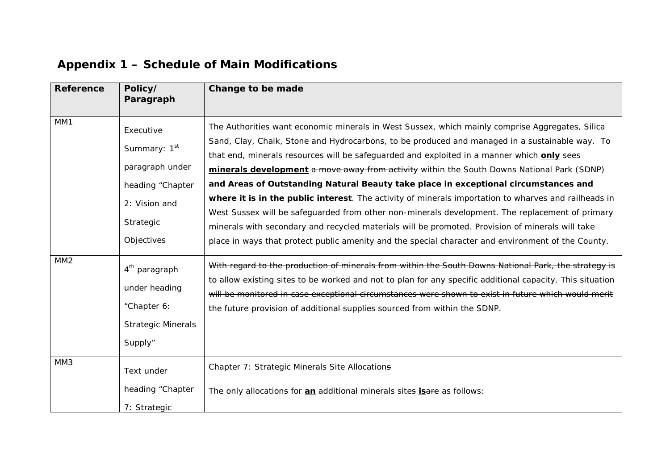| <b>Reference</b> | Policy/<br>Paragraph                                                                                                     | Change to be made                                                                                                                                                                                                                                                                                                                                                                                                                                                                                                                                                                                                                                                                                                                                                                                                                                                                                                |
|------------------|--------------------------------------------------------------------------------------------------------------------------|------------------------------------------------------------------------------------------------------------------------------------------------------------------------------------------------------------------------------------------------------------------------------------------------------------------------------------------------------------------------------------------------------------------------------------------------------------------------------------------------------------------------------------------------------------------------------------------------------------------------------------------------------------------------------------------------------------------------------------------------------------------------------------------------------------------------------------------------------------------------------------------------------------------|
| MM1              | Executive<br>Summary: 1 <sup>st</sup><br>paragraph under<br>heading "Chapter<br>2: Vision and<br>Strategic<br>Objectives | The Authorities want economic minerals in West Sussex, which mainly comprise Aggregates, Silica<br>Sand, Clay, Chalk, Stone and Hydrocarbons, to be produced and managed in a sustainable way. To<br>that end, minerals resources will be safeguarded and exploited in a manner which <b>only</b> sees<br>minerals development a move away from activity within the South Downs National Park (SDNP)<br>and Areas of Outstanding Natural Beauty take place in exceptional circumstances and<br>where it is in the public interest. The activity of minerals importation to wharves and railheads in<br>West Sussex will be safeguarded from other non-minerals development. The replacement of primary<br>minerals with secondary and recycled materials will be promoted. Provision of minerals will take<br>place in ways that protect public amenity and the special character and environment of the County. |
| MM <sub>2</sub>  | 4 <sup>th</sup> paragraph<br>under heading<br>"Chapter 6:<br><b>Strategic Minerals</b><br>Supply"                        | With regard to the production of minerals from within the South Downs National Park, the strategy is<br>to allow existing sites to be worked and not to plan for any specific additional capacity. This situation<br>will be monitored in case exceptional circumstances were shown to exist in future which would merit<br>the future provision of additional supplies sourced from within the SDNP.                                                                                                                                                                                                                                                                                                                                                                                                                                                                                                            |
| MM3              | Text under<br>heading "Chapter<br>7: Strategic                                                                           | Chapter 7: Strategic Minerals Site Allocations<br>The only allocations for an additional minerals sites is are as follows:                                                                                                                                                                                                                                                                                                                                                                                                                                                                                                                                                                                                                                                                                                                                                                                       |

## **Appendix 1 – Schedule of Main Modifications**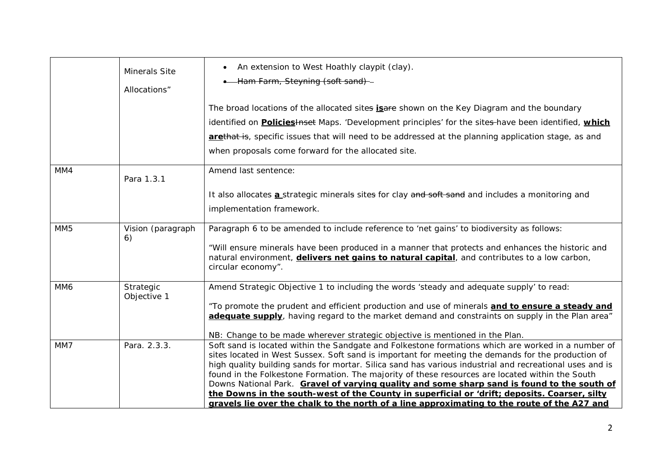|                 | <b>Minerals Site</b><br>Allocations" | • An extension to West Hoathly claypit (clay).<br>• Ham Farm, Steyning (soft sand)-                                                                                                                                                                                                                                                                                                                                                                                                                                   |
|-----------------|--------------------------------------|-----------------------------------------------------------------------------------------------------------------------------------------------------------------------------------------------------------------------------------------------------------------------------------------------------------------------------------------------------------------------------------------------------------------------------------------------------------------------------------------------------------------------|
|                 |                                      | The broad locations of the allocated sites <b>isare</b> shown on the Key Diagram and the boundary                                                                                                                                                                                                                                                                                                                                                                                                                     |
|                 |                                      | identified on <b>Policies + Head Maps</b> . 'Development principles' for the sites-have been identified, which                                                                                                                                                                                                                                                                                                                                                                                                        |
|                 |                                      | arethat is, specific issues that will need to be addressed at the planning application stage, as and                                                                                                                                                                                                                                                                                                                                                                                                                  |
|                 |                                      | when proposals come forward for the allocated site.                                                                                                                                                                                                                                                                                                                                                                                                                                                                   |
| MM4             | Para 1.3.1                           | Amend last sentence:                                                                                                                                                                                                                                                                                                                                                                                                                                                                                                  |
|                 |                                      | It also allocates <b>a</b> strategic minerals sites for clay and soft sand and includes a monitoring and                                                                                                                                                                                                                                                                                                                                                                                                              |
|                 |                                      | implementation framework.                                                                                                                                                                                                                                                                                                                                                                                                                                                                                             |
| MM <sub>5</sub> | Vision (paragraph<br>6)              | Paragraph 6 to be amended to include reference to 'net gains' to biodiversity as follows:                                                                                                                                                                                                                                                                                                                                                                                                                             |
|                 |                                      | "Will ensure minerals have been produced in a manner that protects and enhances the historic and<br>natural environment, <i>delivers net gains to natural capital</i> , and contributes to a low carbon,<br>circular economy".                                                                                                                                                                                                                                                                                        |
| MM6             | Strategic<br>Objective 1             | Amend Strategic Objective 1 to including the words 'steady and adequate supply' to read:                                                                                                                                                                                                                                                                                                                                                                                                                              |
|                 |                                      | "To promote the prudent and efficient production and use of minerals and to ensure a steady and<br>adequate supply, having regard to the market demand and constraints on supply in the Plan area"                                                                                                                                                                                                                                                                                                                    |
|                 |                                      | NB: Change to be made wherever strategic objective is mentioned in the Plan.                                                                                                                                                                                                                                                                                                                                                                                                                                          |
| MM7             | Para. 2.3.3.                         | Soft sand is located within the Sandgate and Folkestone formations which are worked in a number of<br>sites located in West Sussex. Soft sand is important for meeting the demands for the production of<br>high quality building sands for mortar. Silica sand has various industrial and recreational uses and is<br>found in the Folkestone Formation. The majority of these resources are located within the South<br>Downs National Park. Gravel of varying quality and some sharp sand is found to the south of |
|                 |                                      | the Downs in the south-west of the County in superficial or 'drift; deposits. Coarser, silty<br>gravels lie over the chalk to the north of a line approximating to the route of the A27 and                                                                                                                                                                                                                                                                                                                           |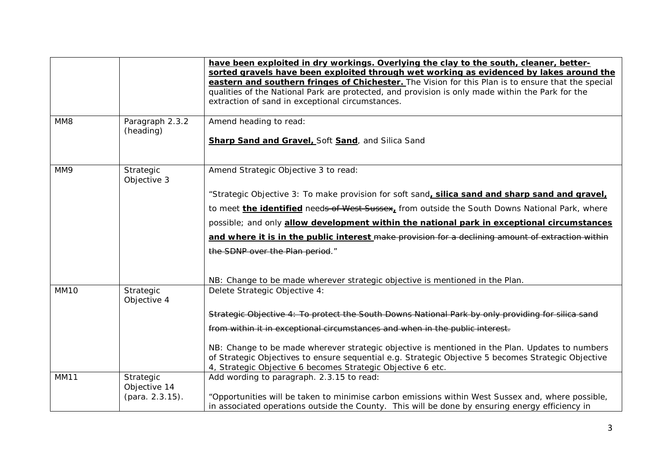|                  |                              | have been exploited in dry workings. Overlying the clay to the south, cleaner, better-<br>sorted gravels have been exploited through wet working as evidenced by lakes around the<br>eastern and southern fringes of Chichester. The Vision for this Plan is to ensure that the special<br>qualities of the National Park are protected, and provision is only made within the Park for the |
|------------------|------------------------------|---------------------------------------------------------------------------------------------------------------------------------------------------------------------------------------------------------------------------------------------------------------------------------------------------------------------------------------------------------------------------------------------|
|                  |                              | extraction of sand in exceptional circumstances.                                                                                                                                                                                                                                                                                                                                            |
| MM8              | Paragraph 2.3.2<br>(heading) | Amend heading to read:                                                                                                                                                                                                                                                                                                                                                                      |
|                  |                              | Sharp Sand and Gravel, Soft Sand, and Silica Sand                                                                                                                                                                                                                                                                                                                                           |
| MM9              | Strategic<br>Objective 3     | Amend Strategic Objective 3 to read:                                                                                                                                                                                                                                                                                                                                                        |
|                  |                              | "Strategic Objective 3: To make provision for soft sand, silica sand and sharp sand and gravel,                                                                                                                                                                                                                                                                                             |
|                  |                              | to meet the identified needs of West Sussex, from outside the South Downs National Park, where                                                                                                                                                                                                                                                                                              |
|                  |                              | possible; and only allow development within the national park in exceptional circumstances                                                                                                                                                                                                                                                                                                  |
|                  |                              | and where it is in the public interest make provision for a declining amount of extraction within                                                                                                                                                                                                                                                                                           |
|                  |                              | the SDNP over the Plan period."                                                                                                                                                                                                                                                                                                                                                             |
|                  |                              |                                                                                                                                                                                                                                                                                                                                                                                             |
|                  |                              | NB: Change to be made wherever strategic objective is mentioned in the Plan.                                                                                                                                                                                                                                                                                                                |
| MM <sub>10</sub> | Strategic<br>Objective 4     | Delete Strategic Objective 4:                                                                                                                                                                                                                                                                                                                                                               |
|                  |                              | Strategic Objective 4: To protect the South Downs National Park by only providing for silica sand                                                                                                                                                                                                                                                                                           |
|                  |                              | from within it in exceptional circumstances and when in the public interest.                                                                                                                                                                                                                                                                                                                |
|                  |                              | NB: Change to be made wherever strategic objective is mentioned in the Plan. Updates to numbers                                                                                                                                                                                                                                                                                             |
|                  |                              | of Strategic Objectives to ensure sequential e.g. Strategic Objective 5 becomes Strategic Objective<br>4, Strategic Objective 6 becomes Strategic Objective 6 etc.                                                                                                                                                                                                                          |
| <b>MM11</b>      | Strategic                    | Add wording to paragraph. 2.3.15 to read:                                                                                                                                                                                                                                                                                                                                                   |
|                  | Objective 14                 |                                                                                                                                                                                                                                                                                                                                                                                             |
|                  | (para. 2.3.15).              | "Opportunities will be taken to minimise carbon emissions within West Sussex and, where possible,<br>in associated operations outside the County. This will be done by ensuring energy efficiency in                                                                                                                                                                                        |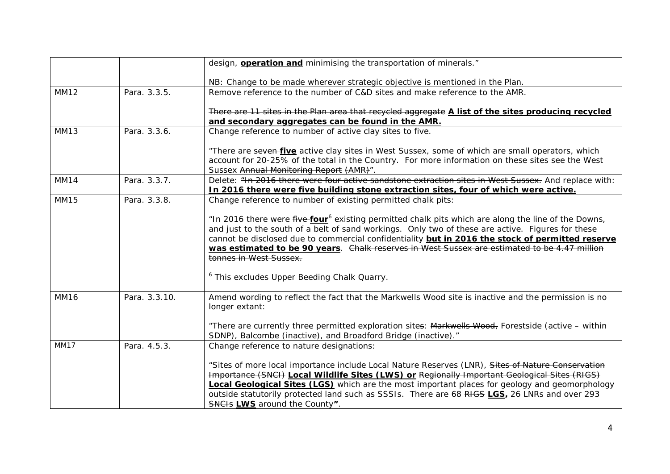|             |               | design, <b>operation and</b> minimising the transportation of minerals."                                                                                                                                                                                                                                                                                                                                                                            |
|-------------|---------------|-----------------------------------------------------------------------------------------------------------------------------------------------------------------------------------------------------------------------------------------------------------------------------------------------------------------------------------------------------------------------------------------------------------------------------------------------------|
|             |               | NB: Change to be made wherever strategic objective is mentioned in the Plan.                                                                                                                                                                                                                                                                                                                                                                        |
| <b>MM12</b> | Para. 3.3.5.  | Remove reference to the number of C&D sites and make reference to the AMR.                                                                                                                                                                                                                                                                                                                                                                          |
|             |               | There are 11 sites in the Plan area that recycled aggregate A list of the sites producing recycled<br>and secondary aggregates can be found in the AMR.                                                                                                                                                                                                                                                                                             |
| <b>MM13</b> | Para, 3.3.6.  | Change reference to number of active clay sites to five.                                                                                                                                                                                                                                                                                                                                                                                            |
|             |               | "There are seven-five active clay sites in West Sussex, some of which are small operators, which<br>account for 20-25% of the total in the Country. For more information on these sites see the West<br>Sussex Annual Monitoring Report (AMR)".                                                                                                                                                                                                     |
| <b>MM14</b> | Para. 3.3.7.  | Delete: "In 2016 there were four active sandstone extraction sites in West Sussex. And replace with:<br>In 2016 there were five building stone extraction sites, four of which were active.                                                                                                                                                                                                                                                         |
| MM15        | Para. 3.3.8.  | Change reference to number of existing permitted chalk pits:                                                                                                                                                                                                                                                                                                                                                                                        |
|             |               | "In 2016 there were five-four <sup>6</sup> existing permitted chalk pits which are along the line of the Downs,<br>and just to the south of a belt of sand workings. Only two of these are active. Figures for these<br>cannot be disclosed due to commercial confidentiality but in 2016 the stock of permitted reserve<br>was estimated to be 90 years. Chalk reserves in West Sussex are estimated to be 4.47 million<br>tonnes in West Sussex.  |
|             |               | <sup>6</sup> This excludes Upper Beeding Chalk Quarry.                                                                                                                                                                                                                                                                                                                                                                                              |
| <b>MM16</b> | Para. 3.3.10. | Amend wording to reflect the fact that the Markwells Wood site is inactive and the permission is no<br>longer extant:                                                                                                                                                                                                                                                                                                                               |
|             |               | "There are currently three permitted exploration sites: Markwells Wood, Forestside (active - within<br>SDNP), Balcombe (inactive), and Broadford Bridge (inactive)."                                                                                                                                                                                                                                                                                |
| <b>MM17</b> | Para. 4.5.3.  | Change reference to nature designations:                                                                                                                                                                                                                                                                                                                                                                                                            |
|             |               | "Sites of more local importance include Local Nature Reserves (LNR), Sites of Nature Conservation<br>Importance (SNCI) Local Wildlife Sites (LWS) or Regionally Important Geological Sites (RIGS)<br><b>Local Geological Sites (LGS)</b> which are the most important places for geology and geomorphology<br>outside statutorily protected land such as SSSIs. There are 68 RIGS LGS, 26 LNRs and over 293<br><b>SNCIS LWS</b> around the County". |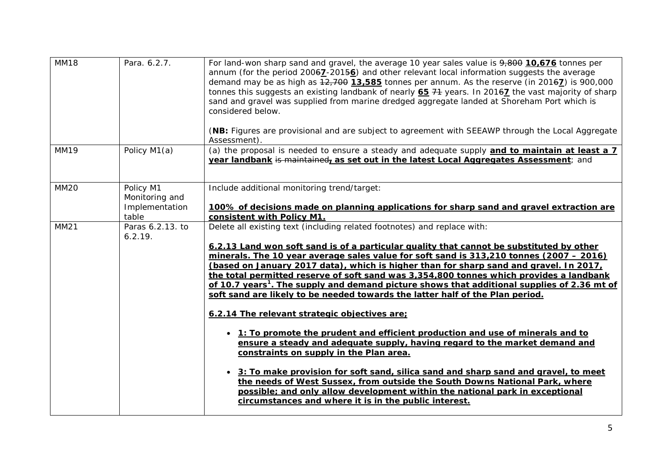| <b>MM18</b> | Para. 6.2.7.                                           | For land-won sharp sand and gravel, the average 10 year sales value is 9,800 10,676 tonnes per<br>annum (for the period $20067 - 20156$ ) and other relevant local information suggests the average<br>demand may be as high as $12,700$ 13,585 tonnes per annum. As the reserve (in 2016 $\overline{2}$ ) is 900,000<br>tonnes this suggests an existing landbank of nearly 65 74 years. In 20167 the vast majority of sharp<br>sand and gravel was supplied from marine dredged aggregate landed at Shoreham Port which is<br>considered below.<br>(NB: Figures are provisional and are subject to agreement with SEEAWP through the Local Aggregate<br>Assessment).                                                                                                                                                                                                                                                                                                                                                                                                                                                                                                                                                       |
|-------------|--------------------------------------------------------|------------------------------------------------------------------------------------------------------------------------------------------------------------------------------------------------------------------------------------------------------------------------------------------------------------------------------------------------------------------------------------------------------------------------------------------------------------------------------------------------------------------------------------------------------------------------------------------------------------------------------------------------------------------------------------------------------------------------------------------------------------------------------------------------------------------------------------------------------------------------------------------------------------------------------------------------------------------------------------------------------------------------------------------------------------------------------------------------------------------------------------------------------------------------------------------------------------------------------|
| <b>MM19</b> | Policy M1(a)                                           | (a) the proposal is needed to ensure a steady and adequate supply and to maintain at least a 7<br>year landbank is maintained, as set out in the latest Local Aggregates Assessment; and                                                                                                                                                                                                                                                                                                                                                                                                                                                                                                                                                                                                                                                                                                                                                                                                                                                                                                                                                                                                                                     |
| <b>MM20</b> | Policy M1<br>Monitoring and<br>Implementation<br>table | Include additional monitoring trend/target:<br>100% of decisions made on planning applications for sharp sand and gravel extraction are<br>consistent with Policy M1.                                                                                                                                                                                                                                                                                                                                                                                                                                                                                                                                                                                                                                                                                                                                                                                                                                                                                                                                                                                                                                                        |
| <b>MM21</b> | Paras 6.2.13. to<br>6.2.19.                            | Delete all existing text (including related footnotes) and replace with:<br>6.2.13 Land won soft sand is of a particular quality that cannot be substituted by other<br>minerals. The 10 year average sales value for soft sand is 313,210 tonnes (2007 - 2016)<br>(based on January 2017 data), which is higher than for sharp sand and gravel. In 2017,<br>the total permitted reserve of soft sand was 3,354,800 tonnes which provides a landbank<br>of 10.7 years <sup>1</sup> . The supply and demand picture shows that additional supplies of 2.36 mt of<br>soft sand are likely to be needed towards the latter half of the Plan period.<br>6.2.14 The relevant strategic objectives are;<br>1: To promote the prudent and efficient production and use of minerals and to<br>ensure a steady and adequate supply, having regard to the market demand and<br>constraints on supply in the Plan area.<br>• 3: To make provision for soft sand, silica sand and sharp sand and gravel, to meet<br>the needs of West Sussex, from outside the South Downs National Park, where<br>possible; and only allow development within the national park in exceptional<br>circumstances and where it is in the public interest. |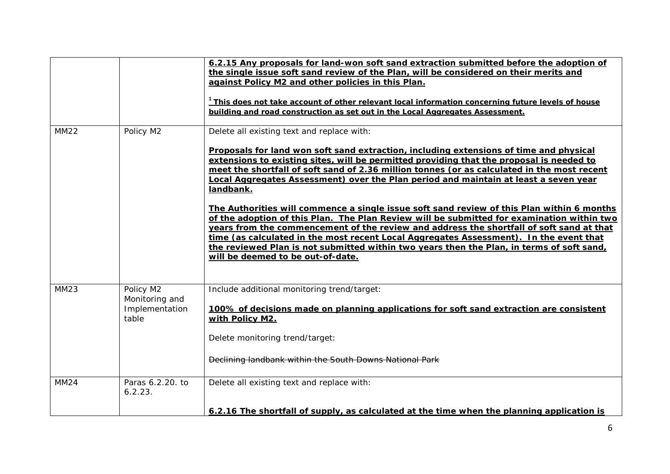|             |                                                        | 6.2.15 Any proposals for land-won soft sand extraction submitted before the adoption of<br>the single issue soft sand review of the Plan, will be considered on their merits and<br>against Policy M2 and other policies in this Plan.<br><sup>1</sup> This does not take account of other relevant local information concerning future levels of house<br>building and road construction as set out in the Local Aggregates Assessment.                                                                                                                                                                                                                                                                                                                                                                                                                                                                                                                 |
|-------------|--------------------------------------------------------|----------------------------------------------------------------------------------------------------------------------------------------------------------------------------------------------------------------------------------------------------------------------------------------------------------------------------------------------------------------------------------------------------------------------------------------------------------------------------------------------------------------------------------------------------------------------------------------------------------------------------------------------------------------------------------------------------------------------------------------------------------------------------------------------------------------------------------------------------------------------------------------------------------------------------------------------------------|
| <b>MM22</b> | Policy M2                                              | Delete all existing text and replace with:<br>Proposals for land won soft sand extraction, including extensions of time and physical<br>extensions to existing sites, will be permitted providing that the proposal is needed to<br>meet the shortfall of soft sand of 2.36 million tonnes (or as calculated in the most recent<br>Local Aggregates Assessment) over the Plan period and maintain at least a seven year<br>landbank.<br>The Authorities will commence a single issue soft sand review of this Plan within 6 months<br>of the adoption of this Plan. The Plan Review will be submitted for examination within two<br>years from the commencement of the review and address the shortfall of soft sand at that<br>time (as calculated in the most recent Local Aggregates Assessment). In the event that<br>the reviewed Plan is not submitted within two years then the Plan, in terms of soft sand,<br>will be deemed to be out-of-date. |
| <b>MM23</b> | Policy M2<br>Monitoring and<br>Implementation<br>table | Include additional monitoring trend/target:<br>100% of decisions made on planning applications for soft sand extraction are consistent<br>with Policy M2.                                                                                                                                                                                                                                                                                                                                                                                                                                                                                                                                                                                                                                                                                                                                                                                                |
| <b>MM24</b> | Paras 6.2.20. to                                       | Delete monitoring trend/target:<br>Declining landbank within the South Downs National Park<br>Delete all existing text and replace with:                                                                                                                                                                                                                                                                                                                                                                                                                                                                                                                                                                                                                                                                                                                                                                                                                 |
|             | 6.2.23.                                                | 6.2.16 The shortfall of supply, as calculated at the time when the planning application is                                                                                                                                                                                                                                                                                                                                                                                                                                                                                                                                                                                                                                                                                                                                                                                                                                                               |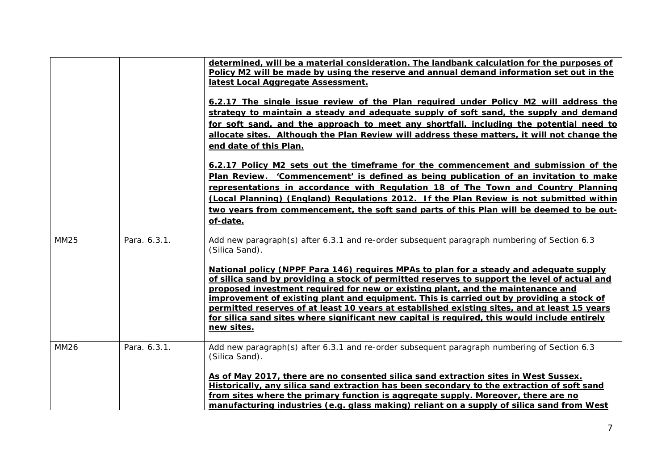|             |              | determined, will be a material consideration. The landbank calculation for the purposes of<br>Policy M2 will be made by using the reserve and annual demand information set out in the<br>latest Local Aggregate Assessment.<br>6.2.17 The single issue review of the Plan required under Policy M2 will address the<br>strategy to maintain a steady and adequate supply of soft sand, the supply and demand<br>for soft sand, and the approach to meet any shortfall, including the potential need to<br>allocate sites. Although the Plan Review will address these matters, it will not change the<br>end date of this Plan.<br>6.2.17 Policy M2 sets out the timeframe for the commencement and submission of the<br>Plan Review. 'Commencement' is defined as being publication of an invitation to make<br>representations in accordance with Regulation 18 of The Town and Country Planning<br>(Local Planning) (England) Regulations 2012. If the Plan Review is not submitted within<br>two years from commencement, the soft sand parts of this Plan will be deemed to be out-<br>of-date. |
|-------------|--------------|-------------------------------------------------------------------------------------------------------------------------------------------------------------------------------------------------------------------------------------------------------------------------------------------------------------------------------------------------------------------------------------------------------------------------------------------------------------------------------------------------------------------------------------------------------------------------------------------------------------------------------------------------------------------------------------------------------------------------------------------------------------------------------------------------------------------------------------------------------------------------------------------------------------------------------------------------------------------------------------------------------------------------------------------------------------------------------------------------------|
| MM25        | Para. 6.3.1. | Add new paragraph(s) after 6.3.1 and re-order subsequent paragraph numbering of Section 6.3<br>(Silica Sand).<br>National policy (NPPF Para 146) requires MPAs to plan for a steady and adequate supply<br>of silica sand by providing a stock of permitted reserves to support the level of actual and<br>proposed investment required for new or existing plant, and the maintenance and<br>improvement of existing plant and equipment. This is carried out by providing a stock of<br>permitted reserves of at least 10 years at established existing sites, and at least 15 years<br>for silica sand sites where significant new capital is required, this would include entirely<br>new sites.                                                                                                                                                                                                                                                                                                                                                                                                  |
| <b>MM26</b> | Para, 6.3.1. | Add new paragraph(s) after 6.3.1 and re-order subsequent paragraph numbering of Section 6.3<br>(Silica Sand).<br>As of May 2017, there are no consented silica sand extraction sites in West Sussex.<br>Historically, any silica sand extraction has been secondary to the extraction of soft sand<br>from sites where the primary function is aggregate supply. Moreover, there are no<br>manufacturing industries (e.g. glass making) reliant on a supply of silica sand from West                                                                                                                                                                                                                                                                                                                                                                                                                                                                                                                                                                                                                  |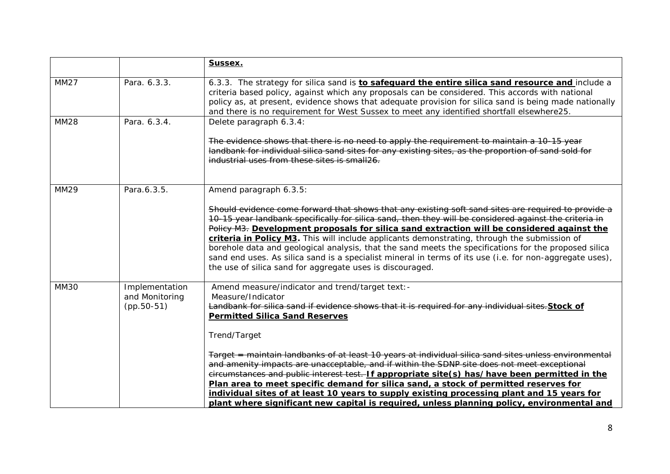|             |                                                  | Sussex.                                                                                                                                                                                                                                                                                                                                                                                                                                                                                                                                                                                                                                                                                       |
|-------------|--------------------------------------------------|-----------------------------------------------------------------------------------------------------------------------------------------------------------------------------------------------------------------------------------------------------------------------------------------------------------------------------------------------------------------------------------------------------------------------------------------------------------------------------------------------------------------------------------------------------------------------------------------------------------------------------------------------------------------------------------------------|
| <b>MM27</b> | Para. 6.3.3.                                     | 6.3.3. The strategy for silica sand is <b>to safequard the entire silica sand resource and</b> include a<br>criteria based policy, against which any proposals can be considered. This accords with national<br>policy as, at present, evidence shows that adequate provision for silica sand is being made nationally<br>and there is no requirement for West Sussex to meet any identified shortfall elsewhere25.                                                                                                                                                                                                                                                                           |
| <b>MM28</b> | Para, 6.3.4.                                     | Delete paragraph 6.3.4:                                                                                                                                                                                                                                                                                                                                                                                                                                                                                                                                                                                                                                                                       |
|             |                                                  | The evidence shows that there is no need to apply the requirement to maintain a 10-15 year<br>landbank for individual silica sand sites for any existing sites, as the proportion of sand sold for<br>industrial uses from these sites is small26.                                                                                                                                                                                                                                                                                                                                                                                                                                            |
| <b>MM29</b> | Para.6.3.5.                                      | Amend paragraph 6.3.5:                                                                                                                                                                                                                                                                                                                                                                                                                                                                                                                                                                                                                                                                        |
|             |                                                  | Should evidence come forward that shows that any existing soft sand sites are required to provide a<br>10-15 year landbank specifically for silica sand, then they will be considered against the criteria in<br>Policy M3. Development proposals for silica sand extraction will be considered against the<br>criteria in Policy M3. This will include applicants demonstrating, through the submission of<br>borehole data and geological analysis, that the sand meets the specifications for the proposed silica<br>sand end uses. As silica sand is a specialist mineral in terms of its use (i.e. for non-aggregate uses),<br>the use of silica sand for aggregate uses is discouraged. |
| <b>MM30</b> | Implementation<br>and Monitoring<br>$(pp.50-51)$ | Amend measure/indicator and trend/target text: -<br>Measure/Indicator<br>Landbank for silica sand if evidence shows that it is required for any individual sites. Stock of<br><b>Permitted Silica Sand Reserves</b>                                                                                                                                                                                                                                                                                                                                                                                                                                                                           |
|             |                                                  | Trend/Target                                                                                                                                                                                                                                                                                                                                                                                                                                                                                                                                                                                                                                                                                  |
|             |                                                  | Target = maintain landbanks of at least 10 years at individual silica sand sites unless environmental<br>and amenity impacts are unacceptable, and if within the SDNP site does not meet exceptional<br>eireumstances and public interest test. If appropriate site(s) has/have been permitted in the<br>Plan area to meet specific demand for silica sand, a stock of permitted reserves for<br>individual sites of at least 10 years to supply existing processing plant and 15 years for<br>plant where significant new capital is required, unless planning policy, environmental and                                                                                                     |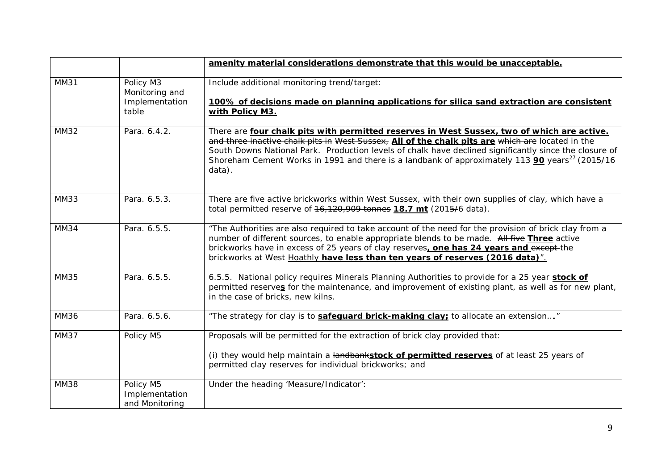|             |                                                        | amenity material considerations demonstrate that this would be unacceptable.                                                                                                                                                                                                                                                                                                                                                     |
|-------------|--------------------------------------------------------|----------------------------------------------------------------------------------------------------------------------------------------------------------------------------------------------------------------------------------------------------------------------------------------------------------------------------------------------------------------------------------------------------------------------------------|
| <b>MM31</b> | Policy M3<br>Monitoring and<br>Implementation<br>table | Include additional monitoring trend/target:<br>100% of decisions made on planning applications for silica sand extraction are consistent<br>with Policy M3.                                                                                                                                                                                                                                                                      |
| <b>MM32</b> | Para. 6.4.2.                                           | There are four chalk pits with permitted reserves in West Sussex, two of which are active.<br>and three inactive chalk pits in West Sussex, All of the chalk pits are which are located in the<br>South Downs National Park. Production levels of chalk have declined significantly since the closure of<br>Shoreham Cement Works in 1991 and there is a landbank of approximately 443 90 years <sup>27</sup> (2045/16<br>data). |
| <b>MM33</b> | Para. 6.5.3.                                           | There are five active brickworks within West Sussex, with their own supplies of clay, which have a<br>total permitted reserve of $16,120,909$ tonnes 18.7 mt (2015/6 data).                                                                                                                                                                                                                                                      |
| <b>MM34</b> | Para. 6.5.5.                                           | "The Authorities are also required to take account of the need for the provision of brick clay from a<br>number of different sources, to enable appropriate blends to be made. All five Three active<br>brickworks have in excess of 25 years of clay reserves, one has 24 years and except-the<br>brickworks at West Hoathly have less than ten years of reserves (2016 data)".                                                 |
| <b>MM35</b> | Para. 6.5.5.                                           | 6.5.5. National policy requires Minerals Planning Authorities to provide for a 25 year stock of<br>permitted reserves for the maintenance, and improvement of existing plant, as well as for new plant,<br>in the case of bricks, new kilns.                                                                                                                                                                                     |
| <b>MM36</b> | Para. 6.5.6.                                           | "The strategy for clay is to <b>safequard brick-making clay</b> : to allocate an extension"                                                                                                                                                                                                                                                                                                                                      |
| <b>MM37</b> | Policy M5                                              | Proposals will be permitted for the extraction of brick clay provided that:<br>(i) they would help maintain a landbankstock of permitted reserves of at least 25 years of<br>permitted clay reserves for individual brickworks; and                                                                                                                                                                                              |
| <b>MM38</b> | Policy M5<br>Implementation<br>and Monitoring          | Under the heading 'Measure/Indicator':                                                                                                                                                                                                                                                                                                                                                                                           |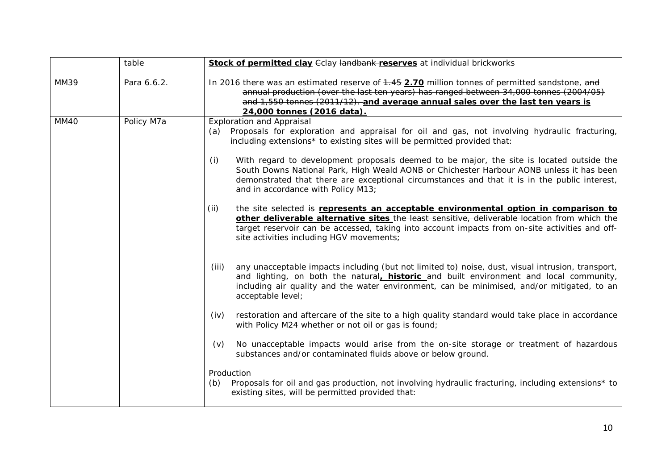|             | table       | <b>Stock of permitted clay Golay Handbank-reserves</b> at individual brickworks                                                                                                                                                                                                                                                           |
|-------------|-------------|-------------------------------------------------------------------------------------------------------------------------------------------------------------------------------------------------------------------------------------------------------------------------------------------------------------------------------------------|
| <b>MM39</b> | Para 6.6.2. | In 2016 there was an estimated reserve of 4.45 2.70 million tonnes of permitted sandstone, and<br>annual production (over the last ten years) has ranged between 34,000 tonnes (2004/05)<br>and 1,550 tonnes (2011/12). and average annual sales over the last ten years is<br>24,000 tonnes (2016 data).                                 |
| MM40        | Policy M7a  | <b>Exploration and Appraisal</b><br>Proposals for exploration and appraisal for oil and gas, not involving hydraulic fracturing,<br>(a)<br>including extensions* to existing sites will be permitted provided that:                                                                                                                       |
|             |             | With regard to development proposals deemed to be major, the site is located outside the<br>(i)<br>South Downs National Park, High Weald AONB or Chichester Harbour AONB unless it has been<br>demonstrated that there are exceptional circumstances and that it is in the public interest,<br>and in accordance with Policy M13;         |
|             |             | (ii)<br>the site selected is represents an acceptable environmental option in comparison to<br>other deliverable alternative sites the least sensitive, deliverable location from which the<br>target reservoir can be accessed, taking into account impacts from on-site activities and off-<br>site activities including HGV movements; |
|             |             | any unacceptable impacts including (but not limited to) noise, dust, visual intrusion, transport,<br>(iii)<br>and lighting, on both the natural, <b>historic</b> and built environment and local community,<br>including air quality and the water environment, can be minimised, and/or mitigated, to an<br>acceptable level;            |
|             |             | restoration and aftercare of the site to a high quality standard would take place in accordance<br>(iv)<br>with Policy M24 whether or not oil or gas is found;                                                                                                                                                                            |
|             |             | No unacceptable impacts would arise from the on-site storage or treatment of hazardous<br>(v)<br>substances and/or contaminated fluids above or below ground.                                                                                                                                                                             |
|             |             | Production<br>Proposals for oil and gas production, not involving hydraulic fracturing, including extensions* to<br>(b)<br>existing sites, will be permitted provided that:                                                                                                                                                               |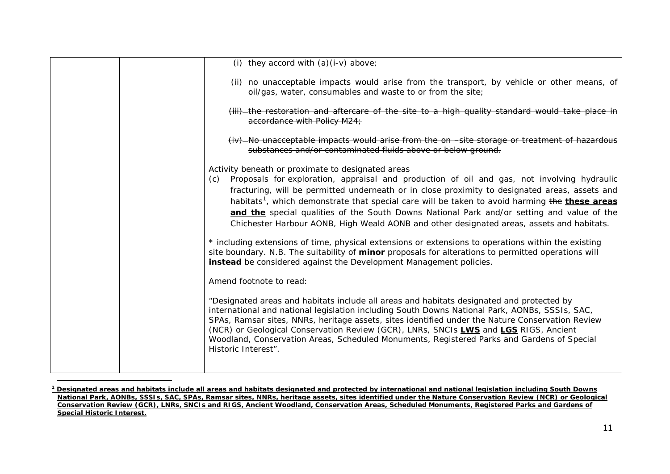<span id="page-10-0"></span>

|  | (i) they accord with $(a)(i-v)$ above;                                                                                                                                                                                                                                                                                                                                                                                                                                                                                                                                                                                                                                    |
|--|---------------------------------------------------------------------------------------------------------------------------------------------------------------------------------------------------------------------------------------------------------------------------------------------------------------------------------------------------------------------------------------------------------------------------------------------------------------------------------------------------------------------------------------------------------------------------------------------------------------------------------------------------------------------------|
|  | (ii) no unacceptable impacts would arise from the transport, by vehicle or other means, of<br>oil/gas, water, consumables and waste to or from the site;                                                                                                                                                                                                                                                                                                                                                                                                                                                                                                                  |
|  | (iii)-the restoration and aftercare of the site to a high quality standard would take place in<br>accordance with Policy M24;                                                                                                                                                                                                                                                                                                                                                                                                                                                                                                                                             |
|  | (iv) No unacceptable impacts would arise from the on -site storage or treatment of hazardous<br>substances and/or contaminated fluids above or below ground.                                                                                                                                                                                                                                                                                                                                                                                                                                                                                                              |
|  | Activity beneath or proximate to designated areas<br>Proposals for exploration, appraisal and production of oil and gas, not involving hydraulic<br>(c)<br>fracturing, will be permitted underneath or in close proximity to designated areas, assets and<br>habitats <sup>1</sup> , which demonstrate that special care will be taken to avoid harming the these areas<br>and the special qualities of the South Downs National Park and/or setting and value of the<br>Chichester Harbour AONB, High Weald AONB and other designated areas, assets and habitats.<br>* including extensions of time, physical extensions or extensions to operations within the existing |
|  | site boundary. N.B. The suitability of minor proposals for alterations to permitted operations will<br>instead be considered against the Development Management policies.                                                                                                                                                                                                                                                                                                                                                                                                                                                                                                 |
|  | Amend footnote to read:                                                                                                                                                                                                                                                                                                                                                                                                                                                                                                                                                                                                                                                   |
|  | "Designated areas and habitats include all areas and habitats designated and protected by<br>international and national legislation including South Downs National Park, AONBs, SSSIs, SAC,<br>SPAs, Ramsar sites, NNRs, heritage assets, sites identified under the Nature Conservation Review<br>(NCR) or Geological Conservation Review (GCR), LNRs, SNCHs LWS and LGS RHGS, Ancient<br>Woodland, Conservation Areas, Scheduled Monuments, Registered Parks and Gardens of Special<br>Historic Interest".                                                                                                                                                              |
|  |                                                                                                                                                                                                                                                                                                                                                                                                                                                                                                                                                                                                                                                                           |

**<sup>1</sup> Designated areas and habitats include all areas and habitats designated and protected by international and national legislation including South Downs National Park, AONBs, SSSIs, SAC, SPAs, Ramsar sites, NNRs, heritage assets, sites identified under the Nature Conservation Review (NCR) or Geological Conservation Review (GCR), LNRs, SNCIs and RIGS, Ancient Woodland, Conservation Areas, Scheduled Monuments, Registered Parks and Gardens of Special Historic Interest.**

 $\overline{a}$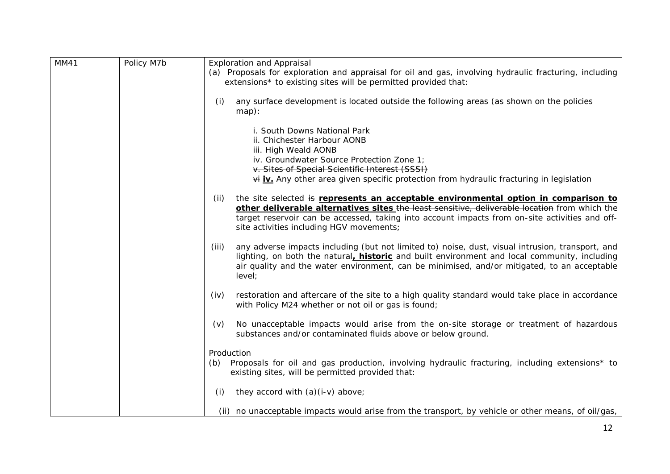| <b>MM41</b> | Policy M7b | <b>Exploration and Appraisal</b>                                                                                                                                                                                                                                                                                                           |
|-------------|------------|--------------------------------------------------------------------------------------------------------------------------------------------------------------------------------------------------------------------------------------------------------------------------------------------------------------------------------------------|
|             |            | (a) Proposals for exploration and appraisal for oil and gas, involving hydraulic fracturing, including<br>extensions* to existing sites will be permitted provided that:                                                                                                                                                                   |
|             |            | any surface development is located outside the following areas (as shown on the policies<br>(i)<br>map):                                                                                                                                                                                                                                   |
|             |            | i. South Downs National Park<br>ii. Chichester Harbour AONB<br>iii. High Weald AONB<br>iv. Groundwater Source Protection Zone 1;<br>v. Sites of Special Scientific Interest (SSSI)<br>$\forall i$ iv. Any other area given specific protection from hydraulic fracturing in legislation                                                    |
|             |            |                                                                                                                                                                                                                                                                                                                                            |
|             |            | the site selected is represents an acceptable environmental option in comparison to<br>(ii)<br>other deliverable alternatives sites the least sensitive, deliverable location from which the<br>target reservoir can be accessed, taking into account impacts from on-site activities and off-<br>site activities including HGV movements; |
|             |            | any adverse impacts including (but not limited to) noise, dust, visual intrusion, transport, and<br>(iii)<br>lighting, on both the natural, <b>historic</b> and built environment and local community, including<br>air quality and the water environment, can be minimised, and/or mitigated, to an acceptable<br>level;                  |
|             |            | restoration and aftercare of the site to a high quality standard would take place in accordance<br>(iv)<br>with Policy M24 whether or not oil or gas is found;                                                                                                                                                                             |
|             |            | No unacceptable impacts would arise from the on-site storage or treatment of hazardous<br>(v)<br>substances and/or contaminated fluids above or below ground.                                                                                                                                                                              |
|             |            | Production<br>Proposals for oil and gas production, involving hydraulic fracturing, including extensions* to<br>(b)<br>existing sites, will be permitted provided that:                                                                                                                                                                    |
|             |            | they accord with $(a)(i-v)$ above;<br>(i)                                                                                                                                                                                                                                                                                                  |
|             |            | (ii) no unacceptable impacts would arise from the transport, by vehicle or other means, of oil/gas,                                                                                                                                                                                                                                        |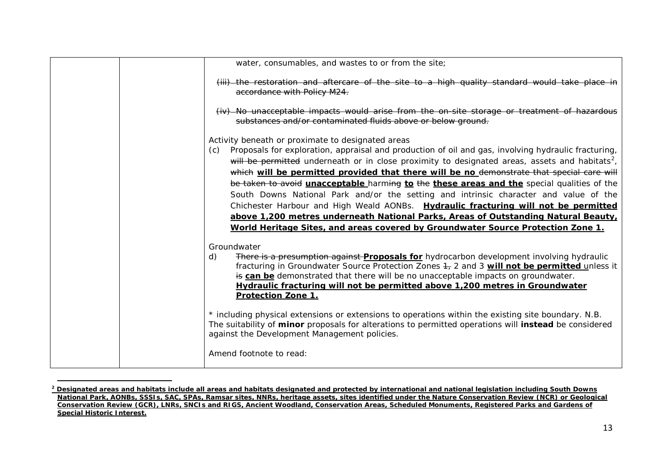<span id="page-12-0"></span>

| water, consumables, and wastes to or from the site;                                                                                                                                                                                                                                                                                                                                                                                                                                                                                                                                                                                                                                                                                                                                                                                       |
|-------------------------------------------------------------------------------------------------------------------------------------------------------------------------------------------------------------------------------------------------------------------------------------------------------------------------------------------------------------------------------------------------------------------------------------------------------------------------------------------------------------------------------------------------------------------------------------------------------------------------------------------------------------------------------------------------------------------------------------------------------------------------------------------------------------------------------------------|
| (iii) the restoration and aftercare of the site to a high quality standard would take place in<br>accordance with Policy M24.                                                                                                                                                                                                                                                                                                                                                                                                                                                                                                                                                                                                                                                                                                             |
| (iv)-No unacceptable impacts would arise from the on-site storage or treatment of hazardous<br>substances and/or contaminated fluids above or below ground.                                                                                                                                                                                                                                                                                                                                                                                                                                                                                                                                                                                                                                                                               |
| Activity beneath or proximate to designated areas<br>Proposals for exploration, appraisal and production of oil and gas, involving hydraulic fracturing,<br>(c)<br>will be permitted underneath or in close proximity to designated areas, assets and habitats <sup>2</sup> ,<br>which will be permitted provided that there will be no demonstrate that special care will<br>be taken to avoid <i>unacceptable</i> harming to the these areas and the special qualities of the<br>South Downs National Park and/or the setting and intrinsic character and value of the<br>Chichester Harbour and High Weald AONBs. Hydraulic fracturing will not be permitted<br>above 1,200 metres underneath National Parks, Areas of Outstanding Natural Beauty,<br>World Heritage Sites, and areas covered by Groundwater Source Protection Zone 1. |
| Groundwater<br>There is a presumption against <b>Proposals for</b> hydrocarbon development involving hydraulic<br>d)<br>fracturing in Groundwater Source Protection Zones 4, 2 and 3 will not be permitted unless it<br>is can be demonstrated that there will be no unacceptable impacts on groundwater.<br>Hydraulic fracturing will not be permitted above 1,200 metres in Groundwater<br><b>Protection Zone 1.</b>                                                                                                                                                                                                                                                                                                                                                                                                                    |
| * including physical extensions or extensions to operations within the existing site boundary. N.B.<br>The suitability of minor proposals for alterations to permitted operations will instead be considered<br>against the Development Management policies.                                                                                                                                                                                                                                                                                                                                                                                                                                                                                                                                                                              |
| Amend footnote to read:                                                                                                                                                                                                                                                                                                                                                                                                                                                                                                                                                                                                                                                                                                                                                                                                                   |

**<sup>2</sup> Designated areas and habitats include all areas and habitats designated and protected by international and national legislation including South Downs National Park, AONBs, SSSIs, SAC, SPAs, Ramsar sites, NNRs, heritage assets, sites identified under the Nature Conservation Review (NCR) or Geological Conservation Review (GCR), LNRs, SNCIs and RIGS, Ancient Woodland, Conservation Areas, Scheduled Monuments, Registered Parks and Gardens of Special Historic Interest.**

 $\overline{a}$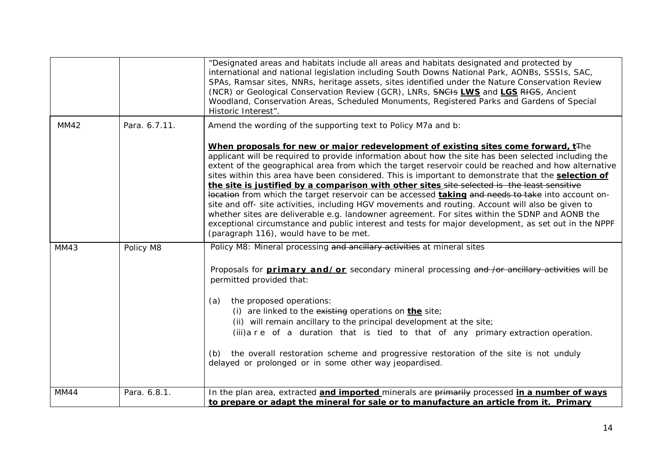|             |               | "Designated areas and habitats include all areas and habitats designated and protected by<br>international and national legislation including South Downs National Park, AONBs, SSSIs, SAC,<br>SPAs, Ramsar sites, NNRs, heritage assets, sites identified under the Nature Conservation Review<br>(NCR) or Geological Conservation Review (GCR), LNRs, SNCHs LWS and LGS RHGS, Ancient<br>Woodland, Conservation Areas, Scheduled Monuments, Registered Parks and Gardens of Special<br>Historic Interest".                                                                                                                                                                                                                                                                                                                                                                                                                                                                               |
|-------------|---------------|--------------------------------------------------------------------------------------------------------------------------------------------------------------------------------------------------------------------------------------------------------------------------------------------------------------------------------------------------------------------------------------------------------------------------------------------------------------------------------------------------------------------------------------------------------------------------------------------------------------------------------------------------------------------------------------------------------------------------------------------------------------------------------------------------------------------------------------------------------------------------------------------------------------------------------------------------------------------------------------------|
| MM42        | Para. 6.7.11. | Amend the wording of the supporting text to Policy M7a and b:                                                                                                                                                                                                                                                                                                                                                                                                                                                                                                                                                                                                                                                                                                                                                                                                                                                                                                                              |
|             |               | When proposals for new or major redevelopment of existing sites come forward, t <sup>The</sup><br>applicant will be required to provide information about how the site has been selected including the<br>extent of the geographical area from which the target reservoir could be reached and how alternative<br>sites within this area have been considered. This is important to demonstrate that the <b>selection of</b><br>the site is justified by a comparison with other sites site selected is the least sensitive<br>location from which the target reservoir can be accessed taking and needs to take into account on-<br>site and off- site activities, including HGV movements and routing. Account will also be given to<br>whether sites are deliverable e.g. landowner agreement. For sites within the SDNP and AONB the<br>exceptional circumstance and public interest and tests for major development, as set out in the NPPF<br>(paragraph 116), would have to be met. |
| <b>MM43</b> | Policy M8     | Policy M8: Mineral processing and ancillary activities at mineral sites                                                                                                                                                                                                                                                                                                                                                                                                                                                                                                                                                                                                                                                                                                                                                                                                                                                                                                                    |
|             |               | Proposals for <b>primary and/or</b> secondary mineral processing and /or ancillary activities will be<br>permitted provided that:<br>the proposed operations:<br>(a)<br>(i) are linked to the existing operations on the site;                                                                                                                                                                                                                                                                                                                                                                                                                                                                                                                                                                                                                                                                                                                                                             |
|             |               | (ii) will remain ancillary to the principal development at the site;                                                                                                                                                                                                                                                                                                                                                                                                                                                                                                                                                                                                                                                                                                                                                                                                                                                                                                                       |
|             |               | (iii) a r e of a duration that is tied to that of any primary extraction operation.                                                                                                                                                                                                                                                                                                                                                                                                                                                                                                                                                                                                                                                                                                                                                                                                                                                                                                        |
|             |               | the overall restoration scheme and progressive restoration of the site is not unduly<br>(b)<br>delayed or prolonged or in some other way jeopardised.                                                                                                                                                                                                                                                                                                                                                                                                                                                                                                                                                                                                                                                                                                                                                                                                                                      |
| MM44        | Para. 6.8.1.  | In the plan area, extracted and imported minerals are primarily processed in a number of ways<br>to prepare or adapt the mineral for sale or to manufacture an article from it. Primary                                                                                                                                                                                                                                                                                                                                                                                                                                                                                                                                                                                                                                                                                                                                                                                                    |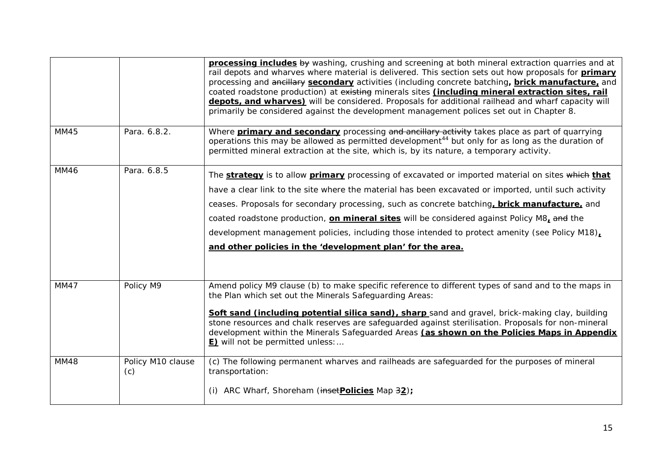|             |                          | processing includes by washing, crushing and screening at both mineral extraction quarries and at<br>rail depots and wharves where material is delivered. This section sets out how proposals for <b>primary</b><br>processing and ancillary secondary activities (including concrete batching, brick manufacture, and<br>coated roadstone production) at existing minerals sites (including mineral extraction sites, rail<br>depots, and wharves) will be considered. Proposals for additional railhead and wharf capacity will<br>primarily be considered against the development management polices set out in Chapter 8. |
|-------------|--------------------------|-------------------------------------------------------------------------------------------------------------------------------------------------------------------------------------------------------------------------------------------------------------------------------------------------------------------------------------------------------------------------------------------------------------------------------------------------------------------------------------------------------------------------------------------------------------------------------------------------------------------------------|
| <b>MM45</b> | Para. 6.8.2.             | Where <b>primary and secondary</b> processing and ancillary activity takes place as part of quarrying<br>operations this may be allowed as permitted development <sup>44</sup> but only for as long as the duration of<br>permitted mineral extraction at the site, which is, by its nature, a temporary activity.                                                                                                                                                                                                                                                                                                            |
| <b>MM46</b> | Para. 6.8.5              | The strategy is to allow primary processing of excavated or imported material on sites which that<br>have a clear link to the site where the material has been excavated or imported, until such activity<br>ceases. Proposals for secondary processing, such as concrete batching, brick manufacture, and<br>coated roadstone production, on mineral sites will be considered against Policy M8, and the<br>development management policies, including those intended to protect amenity (see Policy M18),<br>and other policies in the 'development plan' for the area.                                                     |
| MM47        | Policy M9                | Amend policy M9 clause (b) to make specific reference to different types of sand and to the maps in<br>the Plan which set out the Minerals Safeguarding Areas:<br>Soft sand (including potential silica sand), sharp sand and gravel, brick-making clay, building<br>stone resources and chalk reserves are safeguarded against sterilisation. Proposals for non-mineral<br>development within the Minerals Safeguarded Areas (as shown on the Policies Maps in Appendix<br><b>E)</b> will not be permitted unless:                                                                                                           |
| <b>MM48</b> | Policy M10 clause<br>(c) | (c) The following permanent wharves and railheads are safeguarded for the purposes of mineral<br>transportation:<br>ARC Wharf, Shoreham (insetPolicies Map 32);                                                                                                                                                                                                                                                                                                                                                                                                                                                               |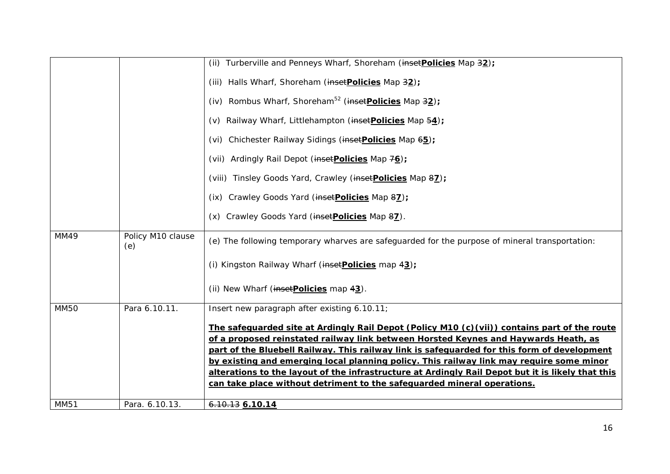|             |                          | (ii) Turberville and Penneys Wharf, Shoreham (insetPolicies Map 32);                                                                                                               |
|-------------|--------------------------|------------------------------------------------------------------------------------------------------------------------------------------------------------------------------------|
|             |                          | (iii) Halls Wharf, Shoreham (inset Policies Map 32);                                                                                                                               |
|             |                          | (iv) Rombus Wharf, Shoreham <sup>52</sup> (inset <b>Policies</b> Map $32$ );                                                                                                       |
|             |                          | (v) Railway Wharf, Littlehampton (insetPolicies Map 54);                                                                                                                           |
|             |                          | (vi) Chichester Railway Sidings (insetPolicies Map 65);                                                                                                                            |
|             |                          | (vii) Ardingly Rail Depot (inset Policies Map 76);                                                                                                                                 |
|             |                          | (viii) Tinsley Goods Yard, Crawley (insetPolicies Map 87);                                                                                                                         |
|             |                          | (ix) Crawley Goods Yard (inset Policies Map 87);                                                                                                                                   |
|             |                          | (x) Crawley Goods Yard (inset Policies Map 87).                                                                                                                                    |
| MM49        | Policy M10 clause<br>(e) | (e) The following temporary wharves are safeguarded for the purpose of mineral transportation:                                                                                     |
|             |                          | (i) Kingston Railway Wharf (inset Policies map 43);                                                                                                                                |
|             |                          | (ii) New Wharf (inset Policies map 43).                                                                                                                                            |
| <b>MM50</b> | Para 6.10.11.            | Insert new paragraph after existing 6.10.11;                                                                                                                                       |
|             |                          | The safequarded site at Ardingly Rail Depot (Policy M10 (c)(vii)) contains part of the route                                                                                       |
|             |                          | of a proposed reinstated railway link between Horsted Keynes and Haywards Heath, as<br>part of the Bluebell Railway. This railway link is safeguarded for this form of development |
|             |                          | by existing and emerging local planning policy. This railway link may require some minor                                                                                           |
|             |                          | alterations to the layout of the infrastructure at Ardingly Rail Depot but it is likely that this                                                                                  |
|             |                          | can take place without detriment to the safeguarded mineral operations.                                                                                                            |
| <b>MM51</b> | Para. 6.10.13.           | $6.10.13$ 6.10.14                                                                                                                                                                  |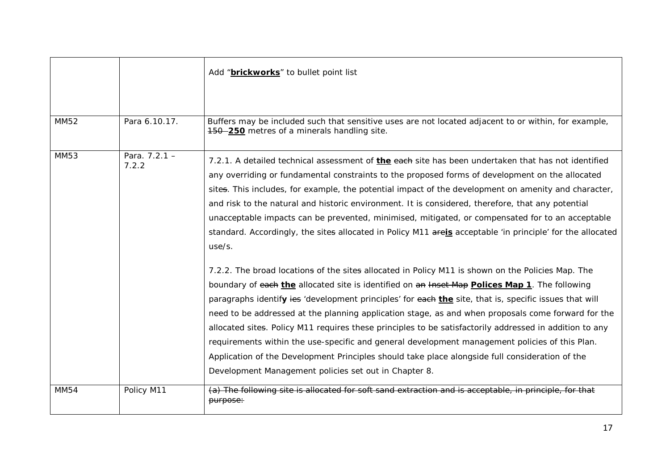|             |                          | Add "brickworks" to bullet point list                                                                                                                                                                                                                                                                                                                                                                                                                                                                                                                                                                                                                                                                                                                                                                                                                                                                                                                                                                                                                                                                                                                                                                                                                                                                                                                                                                                                           |
|-------------|--------------------------|-------------------------------------------------------------------------------------------------------------------------------------------------------------------------------------------------------------------------------------------------------------------------------------------------------------------------------------------------------------------------------------------------------------------------------------------------------------------------------------------------------------------------------------------------------------------------------------------------------------------------------------------------------------------------------------------------------------------------------------------------------------------------------------------------------------------------------------------------------------------------------------------------------------------------------------------------------------------------------------------------------------------------------------------------------------------------------------------------------------------------------------------------------------------------------------------------------------------------------------------------------------------------------------------------------------------------------------------------------------------------------------------------------------------------------------------------|
| <b>MM52</b> | Para 6.10.17.            | Buffers may be included such that sensitive uses are not located adjacent to or within, for example,<br>150 - 250 metres of a minerals handling site.                                                                                                                                                                                                                                                                                                                                                                                                                                                                                                                                                                                                                                                                                                                                                                                                                                                                                                                                                                                                                                                                                                                                                                                                                                                                                           |
| <b>MM53</b> | Para. $7.2.1 -$<br>7.2.2 | 7.2.1. A detailed technical assessment of the each site has been undertaken that has not identified<br>any overriding or fundamental constraints to the proposed forms of development on the allocated<br>sites. This includes, for example, the potential impact of the development on amenity and character,<br>and risk to the natural and historic environment. It is considered, therefore, that any potential<br>unacceptable impacts can be prevented, minimised, mitigated, or compensated for to an acceptable<br>standard. Accordingly, the sites allocated in Policy M11 areis acceptable 'in principle' for the allocated<br>use/s.<br>7.2.2. The broad locations of the sites allocated in Policy M11 is shown on the Policies Map. The<br>boundary of each the allocated site is identified on an lnset Map Polices Map 1. The following<br>paragraphs identify ies 'development principles' for each the site, that is, specific issues that will<br>need to be addressed at the planning application stage, as and when proposals come forward for the<br>allocated sites. Policy M11 requires these principles to be satisfactorily addressed in addition to any<br>requirements within the use-specific and general development management policies of this Plan.<br>Application of the Development Principles should take place alongside full consideration of the<br>Development Management policies set out in Chapter 8. |
| <b>MM54</b> | Policy M11               | (a) The following site is allocated for soft sand extraction and is acceptable, in principle, for that<br>purpose:                                                                                                                                                                                                                                                                                                                                                                                                                                                                                                                                                                                                                                                                                                                                                                                                                                                                                                                                                                                                                                                                                                                                                                                                                                                                                                                              |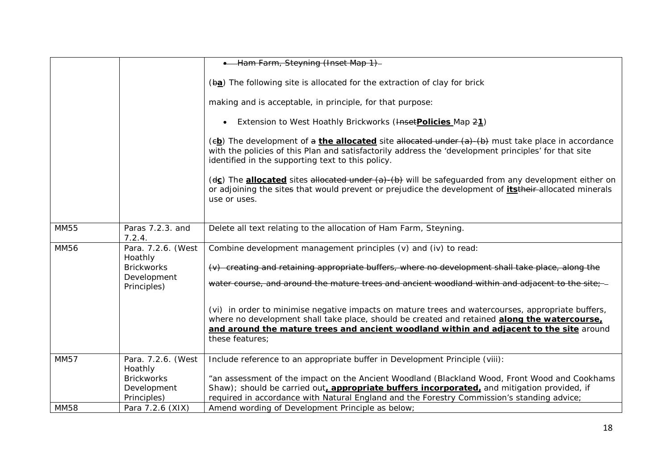|             |                              | • Ham Farm, Steyning (Inset Map 1)-                                                                                                                                                                                                                                                                             |
|-------------|------------------------------|-----------------------------------------------------------------------------------------------------------------------------------------------------------------------------------------------------------------------------------------------------------------------------------------------------------------|
|             |                              | (ba) The following site is allocated for the extraction of clay for brick                                                                                                                                                                                                                                       |
|             |                              |                                                                                                                                                                                                                                                                                                                 |
|             |                              | making and is acceptable, in principle, for that purpose:                                                                                                                                                                                                                                                       |
|             |                              | • Extension to West Hoathly Brickworks (HasetPolicies Map 21)                                                                                                                                                                                                                                                   |
|             |                              | $(e_2)$ The development of a <i>the allocated</i> site allocated under $(a)$ - $(b)$ must take place in accordance<br>with the policies of this Plan and satisfactorily address the 'development principles' for that site<br>identified in the supporting text to this policy.                                 |
|             |                              | (dc) The allocated sites allocated under (a)-(b) will be safeguarded from any development either on<br>or adjoining the sites that would prevent or prejudice the development of itstheir-allocated minerals<br>use or uses.                                                                                    |
| <b>MM55</b> | Paras 7.2.3. and<br>7.2.4.   | Delete all text relating to the allocation of Ham Farm, Steyning.                                                                                                                                                                                                                                               |
| <b>MM56</b> | Para. 7.2.6. (West           | Combine development management principles (v) and (iv) to read:                                                                                                                                                                                                                                                 |
|             | Hoathly<br><b>Brickworks</b> | (v) creating and retaining appropriate buffers, where no development shall take place, along the                                                                                                                                                                                                                |
|             | Development<br>Principles)   | water course, and around the mature trees and ancient woodland within and adjacent to the site;-                                                                                                                                                                                                                |
|             |                              | (vi) in order to minimise negative impacts on mature trees and watercourses, appropriate buffers,<br>where no development shall take place, should be created and retained along the watercourse,<br>and around the mature trees and ancient woodland within and adjacent to the site around<br>these features; |
| <b>MM57</b> | Para. 7.2.6. (West           | Include reference to an appropriate buffer in Development Principle (viii):                                                                                                                                                                                                                                     |
|             | Hoathly<br><b>Brickworks</b> | "an assessment of the impact on the Ancient Woodland (Blackland Wood, Front Wood and Cookhams                                                                                                                                                                                                                   |
|             | Development                  | Shaw); should be carried out, appropriate buffers incorporated, and mitigation provided, if                                                                                                                                                                                                                     |
|             | Principles)                  | required in accordance with Natural England and the Forestry Commission's standing advice;                                                                                                                                                                                                                      |
| <b>MM58</b> | Para 7.2.6 (XIX)             | Amend wording of Development Principle as below;                                                                                                                                                                                                                                                                |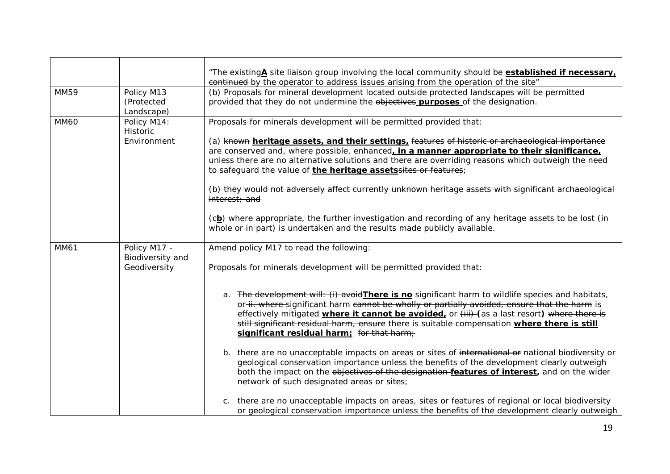|             |                                        | "The existingA site liaison group involving the local community should be established if necessary.<br>eontinued by the operator to address issues arising from the operation of the site"                                                                                                                                                                                                                                                            |
|-------------|----------------------------------------|-------------------------------------------------------------------------------------------------------------------------------------------------------------------------------------------------------------------------------------------------------------------------------------------------------------------------------------------------------------------------------------------------------------------------------------------------------|
| MM59        | Policy M13<br>(Protected<br>Landscape) | (b) Proposals for mineral development located outside protected landscapes will be permitted<br>provided that they do not undermine the objectives purposes of the designation.                                                                                                                                                                                                                                                                       |
| <b>MM60</b> | Policy M14:<br>Historic                | Proposals for minerals development will be permitted provided that:                                                                                                                                                                                                                                                                                                                                                                                   |
|             | Environment                            | (a) known heritage assets, and their settings, features of historic or archaeological importance<br>are conserved and, where possible, enhanced, in a manner appropriate to their significance,<br>unless there are no alternative solutions and there are overriding reasons which outweigh the need<br>to safeguard the value of the heritage assetssites or features;                                                                              |
|             |                                        | (b) they would not adversely affect currently unknown heritage assets with significant archaeological<br>interest; and                                                                                                                                                                                                                                                                                                                                |
|             |                                        | (eb) where appropriate, the further investigation and recording of any heritage assets to be lost (in<br>whole or in part) is undertaken and the results made publicly available.                                                                                                                                                                                                                                                                     |
| MM61        | Policy M17 -                           | Amend policy M17 to read the following:                                                                                                                                                                                                                                                                                                                                                                                                               |
|             | Biodiversity and<br>Geodiversity       | Proposals for minerals development will be permitted provided that:                                                                                                                                                                                                                                                                                                                                                                                   |
|             |                                        | a. The development will: (i) avoid There is no significant harm to wildlife species and habitats,<br>or-ii. where-significant harm cannot be wholly or partially avoided, ensure that the harm is<br>effectively mitigated <i>where it cannot be avoided</i> , or (iii) (as a last resort) where there is<br>still significant residual harm, ensure there is suitable compensation where there is still<br>significant residual harm; for that harm; |
|             |                                        | b. there are no unacceptable impacts on areas or sites of international or national biodiversity or<br>geological conservation importance unless the benefits of the development clearly outweigh<br>both the impact on the objectives of the designation features of interest, and on the wider<br>network of such designated areas or sites;                                                                                                        |
|             |                                        | there are no unacceptable impacts on areas, sites or features of regional or local biodiversity<br>or geological conservation importance unless the benefits of the development clearly outweigh                                                                                                                                                                                                                                                      |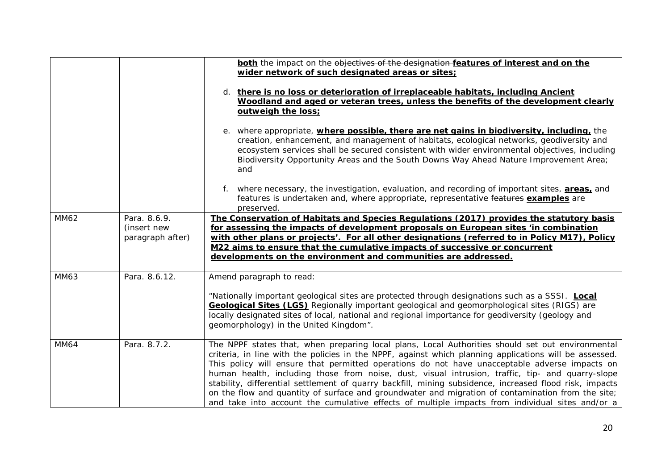|             |                                                 | both the impact on the objectives of the designation features of interest and on the<br>wider network of such designated areas or sites:                                                                                                                                                                                                                                                                                                                                                                                                                                                                                                                                                                                           |
|-------------|-------------------------------------------------|------------------------------------------------------------------------------------------------------------------------------------------------------------------------------------------------------------------------------------------------------------------------------------------------------------------------------------------------------------------------------------------------------------------------------------------------------------------------------------------------------------------------------------------------------------------------------------------------------------------------------------------------------------------------------------------------------------------------------------|
|             |                                                 | d. there is no loss or deterioration of irreplaceable habitats, including Ancient<br>Woodland and aged or veteran trees, unless the benefits of the development clearly<br>outweigh the loss:                                                                                                                                                                                                                                                                                                                                                                                                                                                                                                                                      |
|             |                                                 | e. where appropriate, where possible, there are net gains in biodiversity, including, the<br>creation, enhancement, and management of habitats, ecological networks, geodiversity and<br>ecosystem services shall be secured consistent with wider environmental objectives, including<br>Biodiversity Opportunity Areas and the South Downs Way Ahead Nature Improvement Area;<br>and                                                                                                                                                                                                                                                                                                                                             |
|             |                                                 | f. where necessary, the investigation, evaluation, and recording of important sites, <b>areas</b> , and<br>features is undertaken and, where appropriate, representative features examples are<br>preserved.                                                                                                                                                                                                                                                                                                                                                                                                                                                                                                                       |
| <b>MM62</b> | Para, 8.6.9.<br>(insert new<br>paragraph after) | The Conservation of Habitats and Species Regulations (2017) provides the statutory basis<br>for assessing the impacts of development proposals on European sites 'in combination<br>with other plans or projects'. For all other designations (referred to in Policy M17), Policy<br>M22 aims to ensure that the cumulative impacts of successive or concurrent<br>developments on the environment and communities are addressed.                                                                                                                                                                                                                                                                                                  |
| MM63        | Para. 8.6.12.                                   | Amend paragraph to read:                                                                                                                                                                                                                                                                                                                                                                                                                                                                                                                                                                                                                                                                                                           |
|             |                                                 | "Nationally important geological sites are protected through designations such as a SSSI. Local<br>Geological Sites (LGS) Regionally important geological and geomorphological sites (RIGS) are<br>locally designated sites of local, national and regional importance for geodiversity (geology and<br>geomorphology) in the United Kingdom".                                                                                                                                                                                                                                                                                                                                                                                     |
| <b>MM64</b> | Para. 8.7.2.                                    | The NPPF states that, when preparing local plans, Local Authorities should set out environmental<br>criteria, in line with the policies in the NPPF, against which planning applications will be assessed.<br>This policy will ensure that permitted operations do not have unacceptable adverse impacts on<br>human health, including those from noise, dust, visual intrusion, traffic, tip- and quarry-slope<br>stability, differential settlement of quarry backfill, mining subsidence, increased flood risk, impacts<br>on the flow and quantity of surface and groundwater and migration of contamination from the site;<br>and take into account the cumulative effects of multiple impacts from individual sites and/or a |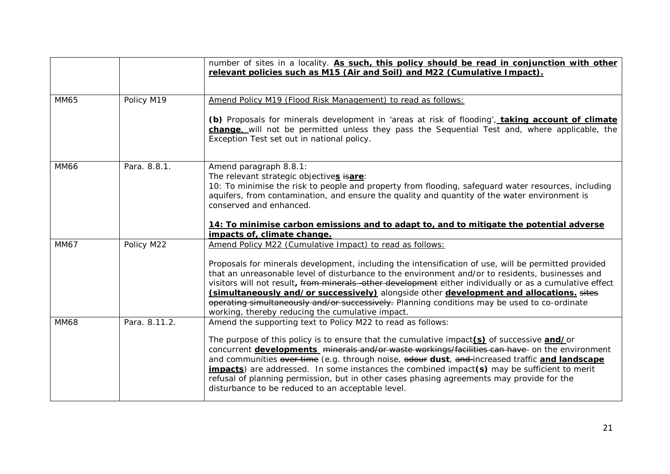|             |               | number of sites in a locality. As such, this policy should be read in conjunction with other<br>relevant policies such as M15 (Air and Soil) and M22 (Cumulative Impact).                                                                                                                                                                                                                                                                                                                                                                                           |
|-------------|---------------|---------------------------------------------------------------------------------------------------------------------------------------------------------------------------------------------------------------------------------------------------------------------------------------------------------------------------------------------------------------------------------------------------------------------------------------------------------------------------------------------------------------------------------------------------------------------|
| <b>MM65</b> | Policy M19    | Amend Policy M19 (Flood Risk Management) to read as follows:                                                                                                                                                                                                                                                                                                                                                                                                                                                                                                        |
|             |               | (b) Proposals for minerals development in 'areas at risk of flooding', taking account of climate<br>change. will not be permitted unless they pass the Sequential Test and, where applicable, the<br>Exception Test set out in national policy.                                                                                                                                                                                                                                                                                                                     |
| <b>MM66</b> | Para. 8.8.1.  | Amend paragraph 8.8.1:<br>The relevant strategic objectives isare:<br>10: To minimise the risk to people and property from flooding, safeguard water resources, including<br>aquifers, from contamination, and ensure the quality and quantity of the water environment is<br>conserved and enhanced.                                                                                                                                                                                                                                                               |
|             |               | 14: To minimise carbon emissions and to adapt to, and to mitigate the potential adverse<br>impacts of, climate change.                                                                                                                                                                                                                                                                                                                                                                                                                                              |
| MM67        | Policy M22    | Amend Policy M22 (Cumulative Impact) to read as follows:                                                                                                                                                                                                                                                                                                                                                                                                                                                                                                            |
|             |               | Proposals for minerals development, including the intensification of use, will be permitted provided<br>that an unreasonable level of disturbance to the environment and/or to residents, businesses and<br>visitors will not result, from minerals -other development either individually or as a cumulative effect<br>(simultaneously and/or successively) alongside other development and allocations. sites<br>operating simultaneously and/or successively. Planning conditions may be used to co-ordinate<br>working, thereby reducing the cumulative impact. |
| <b>MM68</b> | Para, 8.11.2. | Amend the supporting text to Policy M22 to read as follows:                                                                                                                                                                                                                                                                                                                                                                                                                                                                                                         |
|             |               | The purpose of this policy is to ensure that the cumulative impact(s) of successive and/or<br>concurrent developments minerals and/or waste workings/facilities can have on the environment<br>and communities over time (e.g. through noise, odour dust, and increased traffic and landscape<br><b>impacts</b> ) are addressed. In some instances the combined impact(s) may be sufficient to merit<br>refusal of planning permission, but in other cases phasing agreements may provide for the<br>disturbance to be reduced to an acceptable level.              |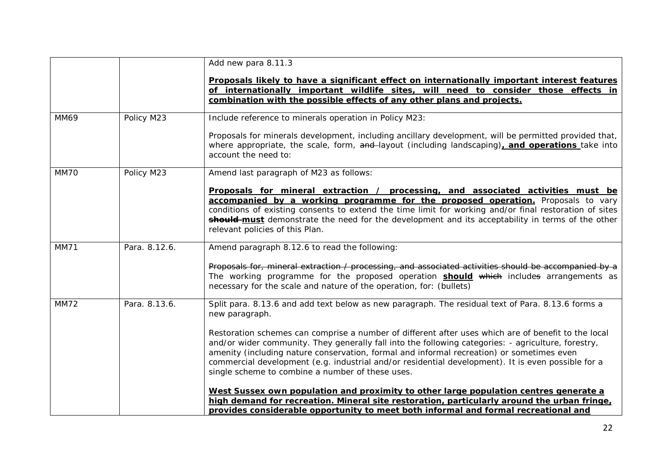|             |               | Add new para 8.11.3                                                                                                                                                                                                                                                                                                                                                                                                                                               |
|-------------|---------------|-------------------------------------------------------------------------------------------------------------------------------------------------------------------------------------------------------------------------------------------------------------------------------------------------------------------------------------------------------------------------------------------------------------------------------------------------------------------|
|             |               | Proposals likely to have a significant effect on internationally important interest features                                                                                                                                                                                                                                                                                                                                                                      |
|             |               | of internationally important wildlife sites, will need to consider those effects in                                                                                                                                                                                                                                                                                                                                                                               |
|             |               | combination with the possible effects of any other plans and projects.                                                                                                                                                                                                                                                                                                                                                                                            |
| <b>MM69</b> | Policy M23    | Include reference to minerals operation in Policy M23:                                                                                                                                                                                                                                                                                                                                                                                                            |
|             |               | Proposals for minerals development, including ancillary development, will be permitted provided that,<br>where appropriate, the scale, form, and layout (including landscaping), and operations take into<br>account the need to:                                                                                                                                                                                                                                 |
| MM70        | Policy M23    | Amend last paragraph of M23 as follows:                                                                                                                                                                                                                                                                                                                                                                                                                           |
|             |               | Proposals for mineral extraction / processing, and associated activities must be<br>accompanied by a working programme for the proposed operation. Proposals to vary<br>conditions of existing consents to extend the time limit for working and/or final restoration of sites<br>should-must demonstrate the need for the development and its acceptability in terms of the other<br>relevant policies of this Plan.                                             |
| <b>MM71</b> | Para. 8.12.6. | Amend paragraph 8.12.6 to read the following:                                                                                                                                                                                                                                                                                                                                                                                                                     |
|             |               | Proposals for, mineral extraction / processing, and associated activities should be accompanied by a<br>The working programme for the proposed operation <b>should</b> which includes arrangements as<br>necessary for the scale and nature of the operation, for: (bullets)                                                                                                                                                                                      |
| <b>MM72</b> | Para. 8.13.6. | Split para. 8.13.6 and add text below as new paragraph. The residual text of Para. 8.13.6 forms a<br>new paragraph.                                                                                                                                                                                                                                                                                                                                               |
|             |               | Restoration schemes can comprise a number of different after uses which are of benefit to the local<br>and/or wider community. They generally fall into the following categories: - agriculture, forestry,<br>amenity (including nature conservation, formal and informal recreation) or sometimes even<br>commercial development (e.g. industrial and/or residential development). It is even possible for a<br>single scheme to combine a number of these uses. |
|             |               | West Sussex own population and proximity to other large population centres generate a<br>high demand for recreation. Mineral site restoration, particularly around the urban fringe,<br>provides considerable opportunity to meet both informal and formal recreational and                                                                                                                                                                                       |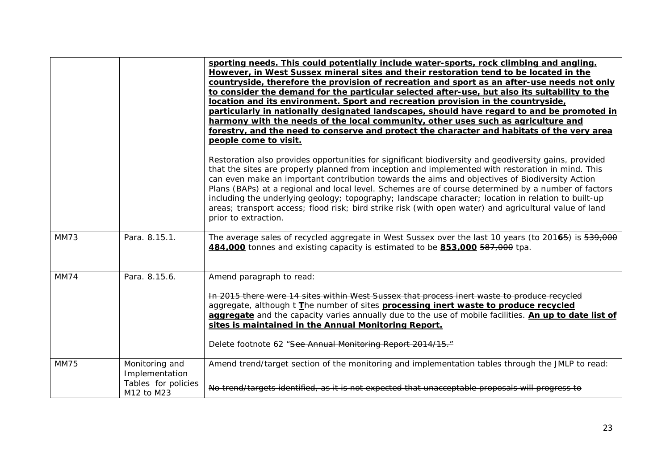|             |                                   | sporting needs. This could potentially include water-sports, rock climbing and angling.<br>However, in West Sussex mineral sites and their restoration tend to be located in the<br>countryside, therefore the provision of recreation and sport as an after-use needs not only                                                                                                                                                                                                                                                                                                                                                                              |
|-------------|-----------------------------------|--------------------------------------------------------------------------------------------------------------------------------------------------------------------------------------------------------------------------------------------------------------------------------------------------------------------------------------------------------------------------------------------------------------------------------------------------------------------------------------------------------------------------------------------------------------------------------------------------------------------------------------------------------------|
|             |                                   | to consider the demand for the particular selected after-use, but also its suitability to the<br>location and its environment. Sport and recreation provision in the countryside,<br>particularly in nationally designated landscapes, should have regard to and be promoted in                                                                                                                                                                                                                                                                                                                                                                              |
|             |                                   | harmony with the needs of the local community, other uses such as agriculture and<br>forestry, and the need to conserve and protect the character and habitats of the very area<br>people come to visit.                                                                                                                                                                                                                                                                                                                                                                                                                                                     |
|             |                                   | Restoration also provides opportunities for significant biodiversity and geodiversity gains, provided<br>that the sites are properly planned from inception and implemented with restoration in mind. This<br>can even make an important contribution towards the aims and objectives of Biodiversity Action<br>Plans (BAPs) at a regional and local level. Schemes are of course determined by a number of factors<br>including the underlying geology; topography; landscape character; location in relation to built-up<br>areas; transport access; flood risk; bird strike risk (with open water) and agricultural value of land<br>prior to extraction. |
| <b>MM73</b> | Para. 8.15.1.                     | The average sales of recycled aggregate in West Sussex over the last 10 years (to 20165) is 539,000<br>484,000 tonnes and existing capacity is estimated to be 853,000 587,000 tpa.                                                                                                                                                                                                                                                                                                                                                                                                                                                                          |
| <b>MM74</b> | Para. 8.15.6.                     | Amend paragraph to read:                                                                                                                                                                                                                                                                                                                                                                                                                                                                                                                                                                                                                                     |
|             |                                   | In 2015 there were 14 sites within West Sussex that process inert waste to produce recycled<br>aggregate, although t-The number of sites processing inert waste to produce recycled<br>aggregate and the capacity varies annually due to the use of mobile facilities. An up to date list of<br>sites is maintained in the Annual Monitoring Report.                                                                                                                                                                                                                                                                                                         |
|             |                                   | Delete footnote 62 "See Annual Monitoring Report 2014/15."                                                                                                                                                                                                                                                                                                                                                                                                                                                                                                                                                                                                   |
| <b>MM75</b> | Monitoring and<br>Implementation  | Amend trend/target section of the monitoring and implementation tables through the JMLP to read:                                                                                                                                                                                                                                                                                                                                                                                                                                                                                                                                                             |
|             | Tables for policies<br>M12 to M23 | No trend/targets identified, as it is not expected that unacceptable proposals will progress to                                                                                                                                                                                                                                                                                                                                                                                                                                                                                                                                                              |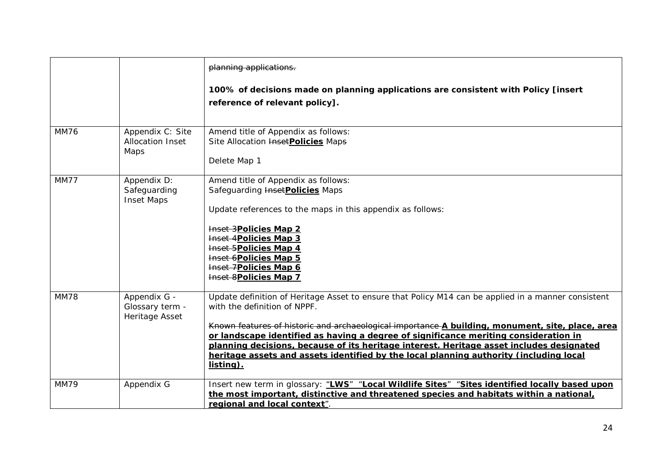|             |                                                     | planning applications.                                                                                                                                                                                                                                                                                                                                                                                                                                                                                                             |
|-------------|-----------------------------------------------------|------------------------------------------------------------------------------------------------------------------------------------------------------------------------------------------------------------------------------------------------------------------------------------------------------------------------------------------------------------------------------------------------------------------------------------------------------------------------------------------------------------------------------------|
|             |                                                     | 100% of decisions made on planning applications are consistent with Policy [insert<br>reference of relevant policy].                                                                                                                                                                                                                                                                                                                                                                                                               |
| <b>MM76</b> | Appendix C: Site<br><b>Allocation Inset</b><br>Maps | Amend title of Appendix as follows:<br>Site Allocation <b>Inset Policies</b> Maps<br>Delete Map 1                                                                                                                                                                                                                                                                                                                                                                                                                                  |
| <b>MM77</b> | Appendix D:<br>Safeguarding<br><b>Inset Maps</b>    | Amend title of Appendix as follows:<br>Safeguarding <b>Inset Policies</b> Maps<br>Update references to the maps in this appendix as follows:<br>Inset 3Policies Map 2<br><b>Inset 4Policies Map 3</b><br>Inset 5Policies Map 4<br>Inset 6Policies Map 5<br>Inset 7Policies Map 6<br><b>Inset 8Policies Map 7</b>                                                                                                                                                                                                                   |
| <b>MM78</b> | Appendix G -<br>Glossary term -<br>Heritage Asset   | Update definition of Heritage Asset to ensure that Policy M14 can be applied in a manner consistent<br>with the definition of NPPF.<br>Known features of historic and archaeological importance A building, monument, site, place, area<br>or landscape identified as having a degree of significance meriting consideration in<br>planning decisions, because of its heritage interest. Heritage asset includes designated<br>heritage assets and assets identified by the local planning authority (including local<br>listing). |
| <b>MM79</b> | Appendix G                                          | Insert new term in glossary: "LWS" "Local Wildlife Sites" "Sites identified locally based upon<br>the most important, distinctive and threatened species and habitats within a national,<br>regional and local context".                                                                                                                                                                                                                                                                                                           |